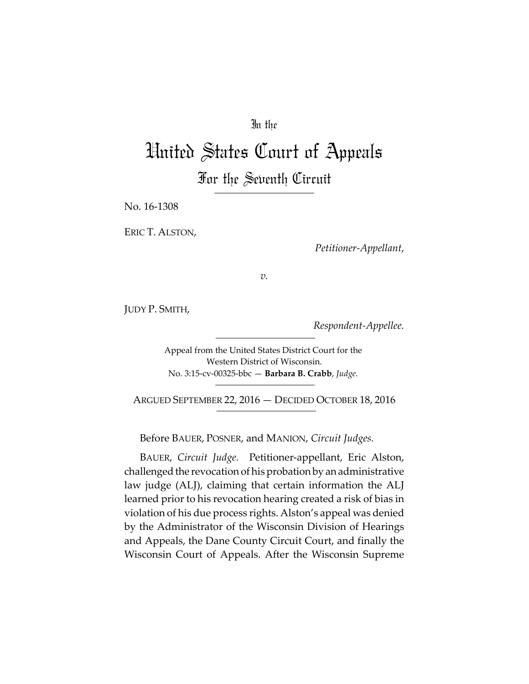## In the

# United States Court of Appeals For the Seventh Circuit

No. 16‐1308

ERIC T. ALSTON,

*Petitioner‐Appellant*,

*v.*

JUDY P. SMITH,

*Respondent‐Appellee.*

Appeal from the United States District Court for the Western District of Wisconsin. No. 3:15‐cv‐00325‐bbc — **Barbara B. Crabb**, *Judge.*

ARGUED SEPTEMBER 22, 2016 — DECIDED OCTOBER 18, 2016

Before BAUER, POSNER, and MANION, *Circuit Judges.*

BAUER, *Circuit Judge.* Petitioner‐appellant, Eric Alston, challenged the revocation of his probation by an administrative law judge (ALJ), claiming that certain information the ALJ learned prior to his revocation hearing created a risk of bias in violation of his due process rights. Alston's appeal was denied by the Administrator of the Wisconsin Division of Hearings and Appeals, the Dane County Circuit Court, and finally the Wisconsin Court of Appeals. After the Wisconsin Supreme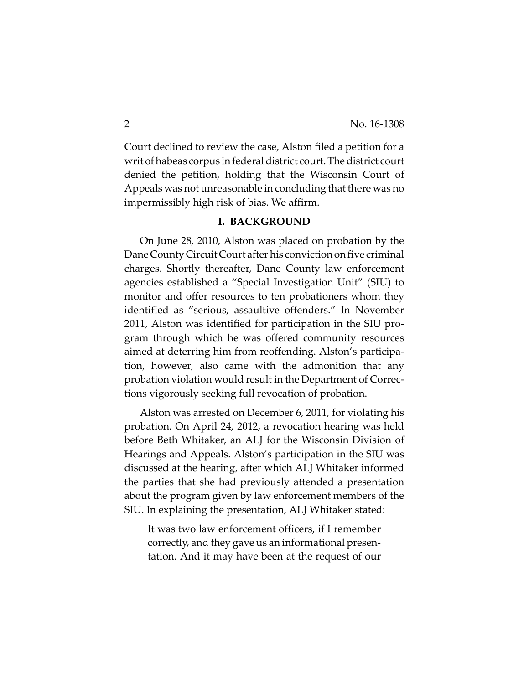Court declined to review the case, Alston filed a petition for a writ of habeas corpus in federal district court. The district court denied the petition, holding that the Wisconsin Court of Appeals was not unreasonable in concluding that there was no impermissibly high risk of bias. We affirm.

#### **I. BACKGROUND**

On June 28, 2010, Alston was placed on probation by the Dane County Circuit Court after his conviction on five criminal charges. Shortly thereafter, Dane County law enforcement agencies established a "Special Investigation Unit" (SIU) to monitor and offer resources to ten probationers whom they identified as "serious, assaultive offenders." In November 2011, Alston was identified for participation in the SIU pro‐ gram through which he was offered community resources aimed at deterring him from reoffending. Alston's participa‐ tion, however, also came with the admonition that any probation violation would result in the Department of Correc‐ tions vigorously seeking full revocation of probation.

Alston was arrested on December 6, 2011, for violating his probation. On April 24, 2012, a revocation hearing was held before Beth Whitaker, an ALJ for the Wisconsin Division of Hearings and Appeals. Alston's participation in the SIU was discussed at the hearing, after which ALJ Whitaker informed the parties that she had previously attended a presentation about the program given by law enforcement members of the SIU. In explaining the presentation, ALJ Whitaker stated:

It was two law enforcement officers, if I remember correctly, and they gave us an informational presen‐ tation. And it may have been at the request of our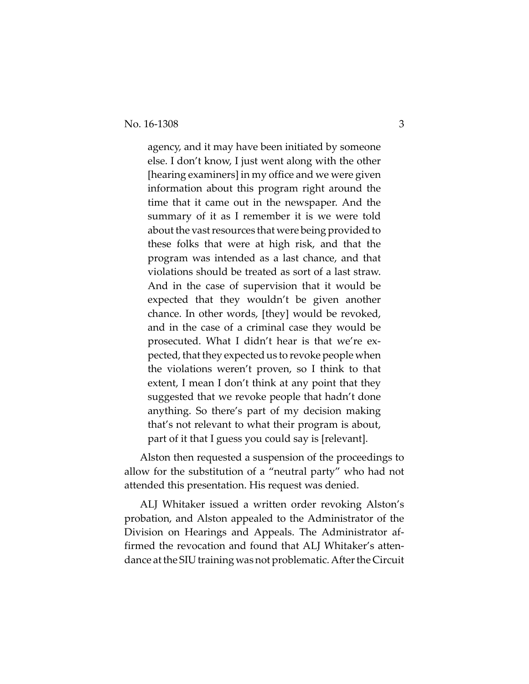agency, and it may have been initiated by someone else. I don't know, I just went along with the other [hearing examiners] in my office and we were given information about this program right around the time that it came out in the newspaper. And the summary of it as I remember it is we were told about the vast resources that were being provided to these folks that were at high risk, and that the program was intended as a last chance, and that violations should be treated as sort of a last straw. And in the case of supervision that it would be expected that they wouldn't be given another chance. In other words, [they] would be revoked, and in the case of a criminal case they would be prosecuted. What I didn't hear is that we're ex‐ pected, that they expected us to revoke people when the violations weren't proven, so I think to that extent, I mean I don't think at any point that they suggested that we revoke people that hadn't done anything. So there's part of my decision making that's not relevant to what their program is about, part of it that I guess you could say is [relevant].

Alston then requested a suspension of the proceedings to allow for the substitution of a "neutral party" who had not attended this presentation. His request was denied.

ALJ Whitaker issued a written order revoking Alston's probation, and Alston appealed to the Administrator of the Division on Hearings and Appeals. The Administrator af‐ firmed the revocation and found that ALJ Whitaker's attendance at the SIU training was not problematic. After the Circuit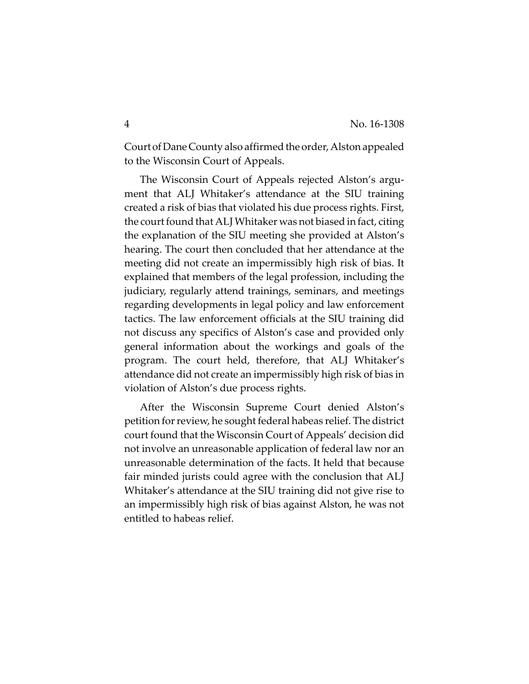Court of Dane County also affirmed the order, Alston appealed to the Wisconsin Court of Appeals.

The Wisconsin Court of Appeals rejected Alston's argument that ALJ Whitaker's attendance at the SIU training created a risk of bias that violated his due process rights. First, the court found that ALJ Whitaker was not biased in fact, citing the explanation of the SIU meeting she provided at Alston's hearing. The court then concluded that her attendance at the meeting did not create an impermissibly high risk of bias. It explained that members of the legal profession, including the judiciary, regularly attend trainings, seminars, and meetings regarding developments in legal policy and law enforcement tactics. The law enforcement officials at the SIU training did not discuss any specifics of Alston's case and provided only general information about the workings and goals of the program. The court held, therefore, that ALJ Whitaker's attendance did not create an impermissibly high risk of bias in violation of Alston's due process rights.

After the Wisconsin Supreme Court denied Alston's petition for review, he sought federal habeas relief. The district court found that the Wisconsin Court of Appeals' decision did not involve an unreasonable application of federal law nor an unreasonable determination of the facts. It held that because fair minded jurists could agree with the conclusion that ALJ Whitaker's attendance at the SIU training did not give rise to an impermissibly high risk of bias against Alston, he was not entitled to habeas relief.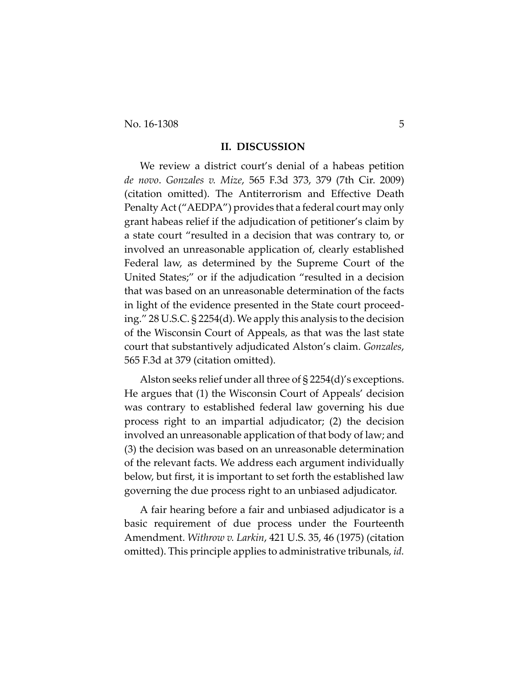No. 16-1308 5

#### **II. DISCUSSION**

We review a district court's denial of a habeas petition *de novo*. *Gonzales v. Mize*, 565 F.3d 373, 379 (7th Cir. 2009) (citation omitted). The Antiterrorism and Effective Death Penalty Act ("AEDPA") provides that a federal court may only grant habeas relief if the adjudication of petitioner's claim by a state court "resulted in a decision that was contrary to, or involved an unreasonable application of, clearly established Federal law, as determined by the Supreme Court of the United States;" or if the adjudication "resulted in a decision that was based on an unreasonable determination of the facts in light of the evidence presented in the State court proceed‐ ing." 28 U.S.C. § 2254(d). We apply this analysis to the decision of the Wisconsin Court of Appeals, as that was the last state court that substantively adjudicated Alston's claim. *Gonzales*, 565 F.3d at 379 (citation omitted).

Alston seeks relief under all three of § 2254(d)'s exceptions. He argues that (1) the Wisconsin Court of Appeals' decision was contrary to established federal law governing his due process right to an impartial adjudicator; (2) the decision involved an unreasonable application of that body of law; and (3) the decision was based on an unreasonable determination of the relevant facts. We address each argument individually below, but first, it is important to set forth the established law governing the due process right to an unbiased adjudicator.

A fair hearing before a fair and unbiased adjudicator is a basic requirement of due process under the Fourteenth Amendment. *Withrow v. Larkin*, 421 U.S. 35, 46 (1975) (citation omitted). This principle applies to administrative tribunals, *id.*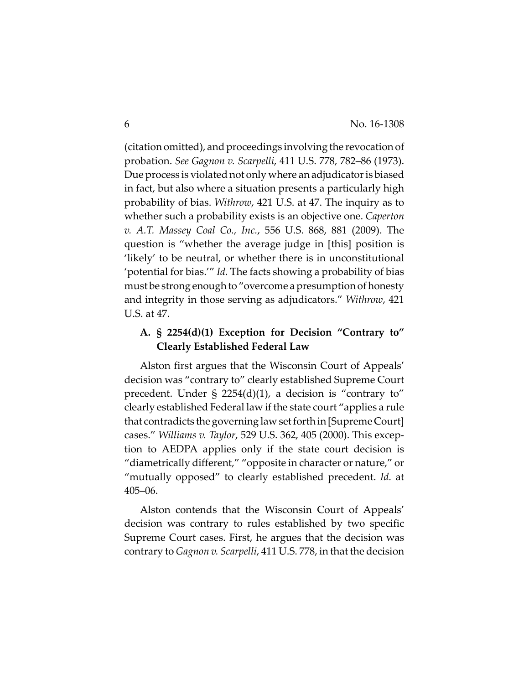(citation omitted), and proceedings involving the revocation of probation. *See Gagnon v. Scarpelli*, 411 U.S. 778, 782–86 (1973). Due process is violated not only where an adjudicator is biased in fact, but also where a situation presents a particularly high probability of bias. *Withrow*, 421 U.S. at 47. The inquiry as to whether such a probability exists is an objective one. *Caperton v. A.T. Massey Coal Co., Inc.*, 556 U.S. 868, 881 (2009). The question is "whether the average judge in [this] position is 'likely' to be neutral, or whether there is in unconstitutional 'potential for bias.'" *Id.* The facts showing a probability of bias must be strong enough to "overcome a presumption of honesty and integrity in those serving as adjudicators." *Withrow*, 421 U.S. at 47.

### **A. § 2254(d)(1) Exception for Decision "Contrary to" Clearly Established Federal Law**

Alston first argues that the Wisconsin Court of Appeals' decision was "contrary to" clearly established Supreme Court precedent. Under  $\S$  2254(d)(1), a decision is "contrary to" clearly established Federal law if the state court "applies a rule that contradicts the governing law setforth in [Supreme Court] cases." *Williams v. Taylor*, 529 U.S. 362, 405 (2000). This excep‐ tion to AEDPA applies only if the state court decision is "diametrically different," "opposite in character or nature," or "mutually opposed" to clearly established precedent. *Id.* at 405–06.

Alston contends that the Wisconsin Court of Appeals' decision was contrary to rules established by two specific Supreme Court cases. First, he argues that the decision was contrary to *Gagnon v. Scarpelli*, 411 U.S. 778, in that the decision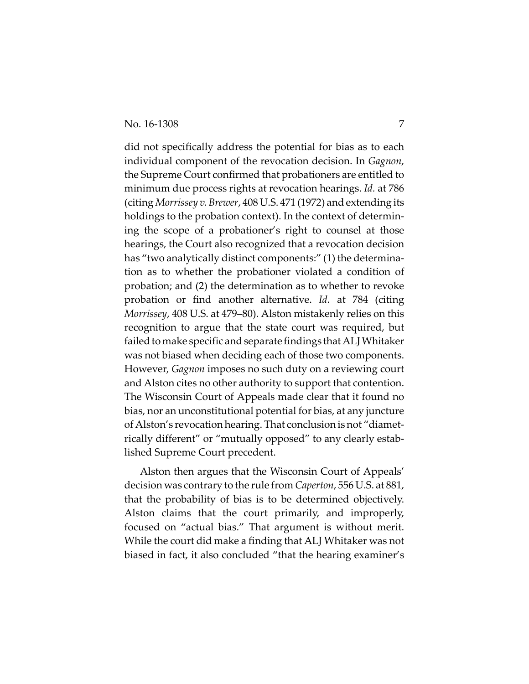did not specifically address the potential for bias as to each individual component of the revocation decision. In *Gagnon*, the Supreme Court confirmed that probationers are entitled to minimum due process rights at revocation hearings. *Id.* at 786 (citing *Morrissey v. Brewer*, 408 U.S. 471 (1972) and extending its holdings to the probation context). In the context of determin‐ ing the scope of a probationer's right to counsel at those hearings, the Court also recognized that a revocation decision has "two analytically distinct components:" (1) the determination as to whether the probationer violated a condition of probation; and (2) the determination as to whether to revoke probation or find another alternative. *Id.* at 784 (citing *Morrissey*, 408 U.S. at 479–80). Alston mistakenly relies on this recognition to argue that the state court was required, but failed to make specific and separate findings that ALJ Whitaker was not biased when deciding each of those two components. However, *Gagnon* imposes no such duty on a reviewing court and Alston cites no other authority to support that contention. The Wisconsin Court of Appeals made clear that it found no bias, nor an unconstitutional potential for bias, at any juncture of Alston's revocation hearing. That conclusion is not "diamet‐ rically different" or "mutually opposed" to any clearly estab‐ lished Supreme Court precedent.

Alston then argues that the Wisconsin Court of Appeals' decision was contrary to the rule from *Caperton*, 556 U.S. at 881, that the probability of bias is to be determined objectively. Alston claims that the court primarily, and improperly, focused on "actual bias." That argument is without merit. While the court did make a finding that ALJ Whitaker was not biased in fact, it also concluded "that the hearing examiner's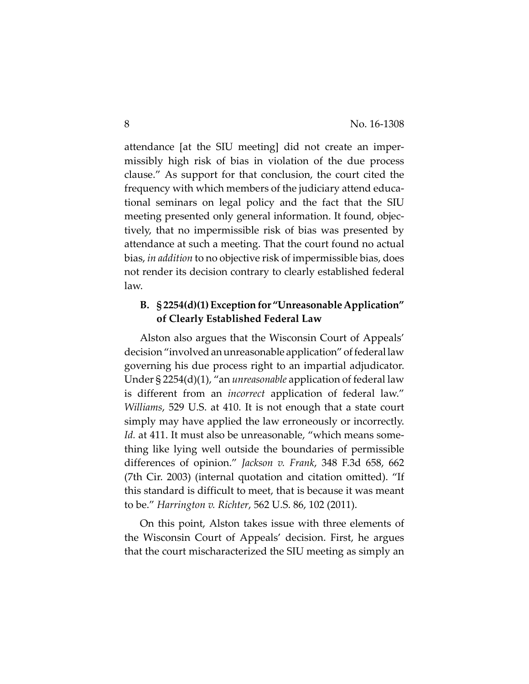attendance [at the SIU meeting] did not create an imper‐ missibly high risk of bias in violation of the due process clause." As support for that conclusion, the court cited the frequency with which members of the judiciary attend educa‐ tional seminars on legal policy and the fact that the SIU meeting presented only general information. It found, objec‐ tively, that no impermissible risk of bias was presented by attendance at such a meeting. That the court found no actual bias, *in addition* to no objective risk of impermissible bias, does not render its decision contrary to clearly established federal law.

## **B. § 2254(d)(1)Exceptionfor "UnreasonableApplication" of Clearly Established Federal Law**

Alston also argues that the Wisconsin Court of Appeals' decision "involved an unreasonable application" of federal law governing his due process right to an impartial adjudicator. Under § 2254(d)(1), "an *unreasonable* application of federal law is different from an *incorrect* application of federal law." *Williams*, 529 U.S. at 410. It is not enough that a state court simply may have applied the law erroneously or incorrectly. *Id.* at 411. It must also be unreasonable, "which means some‐ thing like lying well outside the boundaries of permissible differences of opinion." *Jackson v. Frank*, 348 F.3d 658, 662 (7th Cir. 2003) (internal quotation and citation omitted). "If this standard is difficult to meet, that is because it was meant to be." *Harrington v. Richter*, 562 U.S. 86, 102 (2011).

On this point, Alston takes issue with three elements of the Wisconsin Court of Appeals' decision. First, he argues that the court mischaracterized the SIU meeting as simply an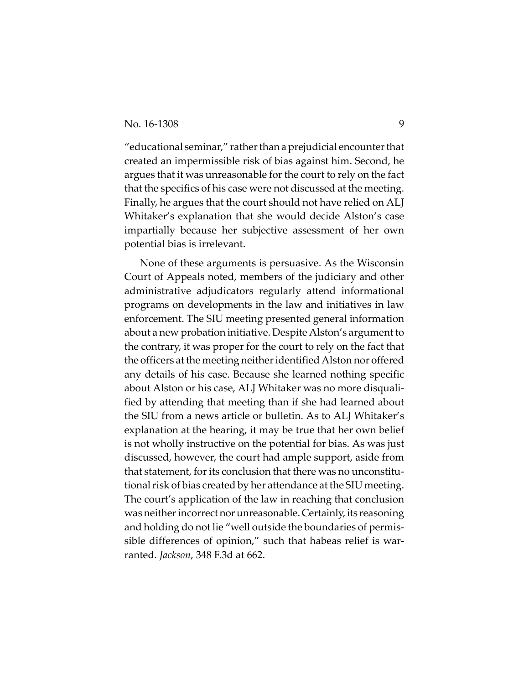"educational seminar," rather than a prejudicial encounter that created an impermissible risk of bias against him. Second, he argues that it was unreasonable for the court to rely on the fact that the specifics of his case were not discussed at the meeting. Finally, he argues that the court should not have relied on ALJ Whitaker's explanation that she would decide Alston's case impartially because her subjective assessment of her own potential bias is irrelevant.

None of these arguments is persuasive. As the Wisconsin Court of Appeals noted, members of the judiciary and other administrative adjudicators regularly attend informational programs on developments in the law and initiatives in law enforcement. The SIU meeting presented general information about a new probation initiative. Despite Alston's argument to the contrary, it was proper for the court to rely on the fact that the officers at the meeting neither identified Alston nor offered any details of his case. Because she learned nothing specific about Alston or his case, ALJ Whitaker was no more disquali‐ fied by attending that meeting than if she had learned about the SIU from a news article or bulletin. As to ALJ Whitaker's explanation at the hearing, it may be true that her own belief is not wholly instructive on the potential for bias. As was just discussed, however, the court had ample support, aside from that statement, forits conclusion that there was no unconstitu‐ tional risk of bias created by her attendance at the SIU meeting. The court's application of the law in reaching that conclusion was neither incorrect nor unreasonable. Certainly, its reasoning and holding do not lie "well outside the boundaries of permis‐ sible differences of opinion," such that habeas relief is warranted. *Jackson*, 348 F.3d at 662.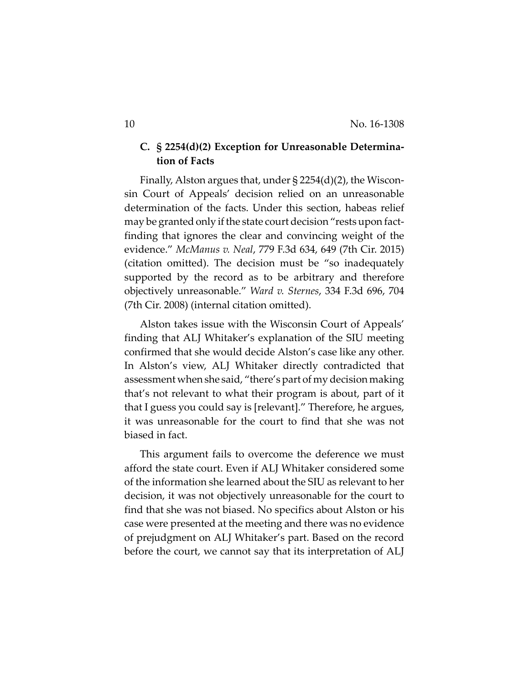## **C. § 2254(d)(2) Exception for Unreasonable Determina‐ tion of Facts**

Finally, Alston argues that, under  $\S 2254(d)(2)$ , the Wisconsin Court of Appeals' decision relied on an unreasonable determination of the facts. Under this section, habeas relief may be granted only if the state court decision "rests upon factfinding that ignores the clear and convincing weight of the evidence." *McManus v. Neal*, 779 F.3d 634, 649 (7th Cir. 2015) (citation omitted). The decision must be "so inadequately supported by the record as to be arbitrary and therefore objectively unreasonable." *Ward v. Sternes*, 334 F.3d 696, 704 (7th Cir. 2008) (internal citation omitted).

Alston takes issue with the Wisconsin Court of Appeals' finding that ALJ Whitaker's explanation of the SIU meeting confirmed that she would decide Alston's case like any other. In Alston's view, ALJ Whitaker directly contradicted that assessment when she said, "there's part of my decision making that's not relevant to what their program is about, part of it that I guess you could say is [relevant]." Therefore, he argues, it was unreasonable for the court to find that she was not biased in fact.

This argument fails to overcome the deference we must afford the state court. Even if ALJ Whitaker considered some of the information she learned about the SIU as relevant to her decision, it was not objectively unreasonable for the court to find that she was not biased. No specifics about Alston or his case were presented at the meeting and there was no evidence of prejudgment on ALJ Whitaker's part. Based on the record before the court, we cannot say that its interpretation of ALJ